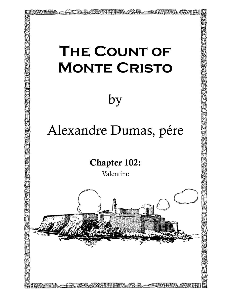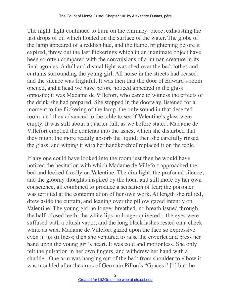The night–light continued to burn on the chimney–piece, exhausting the last drops of oil which floated on the surface of the water. The globe of the lamp appeared of a reddish hue, and the flame, brightening before it expired, threw out the last flickerings which in an inanimate object have been so often compared with the convulsions of a human creature in its final agonies. A dull and dismal light was shed over the bedclothes and curtains surrounding the young girl. All noise in the streets had ceased, and the silence was frightful. It was then that the door of Edward's room opened, and a head we have before noticed appeared in the glass opposite; it was Madame de Villefort, who came to witness the effects of the drink she had prepared. She stopped in the doorway, listened for a moment to the flickering of the lamp, the only sound in that deserted room, and then advanced to the table to see if Valentine's glass were empty. It was still about a quarter full, as we before stated. Madame de Villefort emptied the contents into the ashes, which she disturbed that they might the more readily absorb the liquid; then she carefully rinsed the glass, and wiping it with her handkerchief replaced it on the table.

If any one could have looked into the room just then he would have noticed the hesitation with which Madame de Villefort approached the bed and looked fixedly on Valentine. The dim light, the profound silence, and the gloomy thoughts inspired by the hour, and still more by her own conscience, all combined to produce a sensation of fear; the poisoner was terrified at the contemplation of her own work. At length she rallied, drew aside the curtain, and leaning over the pillow gazed intently on Valentine. The young girl no longer breathed, no breath issued through the half–closed teeth; the white lips no longer quivered—the eyes were suffused with a bluish vapor, and the long black lashes rested on a cheek white as wax. Madame de Villefort gazed upon the face so expressive even in its stillness; then she ventured to raise the coverlet and press her hand upon the young girl's heart. It was cold and motionless. She only felt the pulsation in her own fingers, and withdrew her hand with a shudder. One arm was hanging out of the bed; from shoulder to elbow it was moulded after the arms of Germain Pillon's "Graces," [\*] but the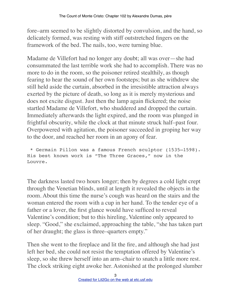fore–arm seemed to be slightly distorted by convulsion, and the hand, so delicately formed, was resting with stiff outstretched fingers on the framework of the bed. The nails, too, were turning blue.

Madame de Villefort had no longer any doubt; all was over—she had consummated the last terrible work she had to accomplish. There was no more to do in the room, so the poisoner retired stealthily, as though fearing to hear the sound of her own footsteps; but as she withdrew she still held aside the curtain, absorbed in the irresistible attraction always exerted by the picture of death, so long as it is merely mysterious and does not excite disgust. Just then the lamp again flickered; the noise startled Madame de Villefort, who shuddered and dropped the curtain. Immediately afterwards the light expired, and the room was plunged in frightful obscurity, while the clock at that minute struck half–past four. Overpowered with agitation, the poisoner succeeded in groping her way to the door, and reached her room in an agony of fear.

 \* Germain Pillon was a famous French sculptor (1535–1598). His best known work is "The Three Graces," now in the Louvre.

The darkness lasted two hours longer; then by degrees a cold light crept through the Venetian blinds, until at length it revealed the objects in the room. About this time the nurse's cough was heard on the stairs and the woman entered the room with a cup in her hand. To the tender eye of a father or a lover, the first glance would have sufficed to reveal Valentine's condition; but to this hireling, Valentine only appeared to sleep. "Good," she exclaimed, approaching the table, "she has taken part of her draught; the glass is three–quarters empty."

Then she went to the fireplace and lit the fire, and although she had just left her bed, she could not resist the temptation offered by Valentine's sleep, so she threw herself into an arm–chair to snatch a little more rest. The clock striking eight awoke her. Astonished at the prolonged slumber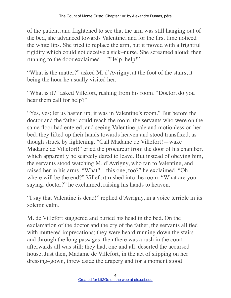of the patient, and frightened to see that the arm was still hanging out of the bed, she advanced towards Valentine, and for the first time noticed the white lips. She tried to replace the arm, but it moved with a frightful rigidity which could not deceive a sick–nurse. She screamed aloud; then running to the door exclaimed,—"Help, help!"

"What is the matter?" asked M. d'Avrigny, at the foot of the stairs, it being the hour he usually visited her.

"What is it?" asked Villefort, rushing from his room. "Doctor, do you hear them call for help?"

"Yes, yes; let us hasten up; it was in Valentine's room." But before the doctor and the father could reach the room, the servants who were on the same floor had entered, and seeing Valentine pale and motionless on her bed, they lifted up their hands towards heaven and stood transfixed, as though struck by lightening. "Call Madame de Villefort!—wake Madame de Villefort!" cried the procureur from the door of his chamber, which apparently he scarcely dared to leave. But instead of obeying him, the servants stood watching M. d'Avrigny, who ran to Valentine, and raised her in his arms. "What?—this one, too?" he exclaimed. "Oh, where will be the end?" Villefort rushed into the room. "What are you saying, doctor?" he exclaimed, raising his hands to heaven.

"I say that Valentine is dead!" replied d'Avrigny, in a voice terrible in its solemn calm.

M. de Villefort staggered and buried his head in the bed. On the exclamation of the doctor and the cry of the father, the servants all fled with muttered imprecations; they were heard running down the stairs and through the long passages, then there was a rush in the court, afterwards all was still; they had, one and all, deserted the accursed house. Just then, Madame de Villefort, in the act of slipping on her dressing–gown, threw aside the drapery and for a moment stood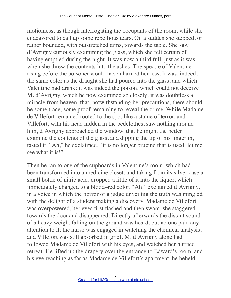motionless, as though interrogating the occupants of the room, while she endeavored to call up some rebellious tears. On a sudden she stepped, or rather bounded, with outstretched arms, towards the table. She saw d'Avrigny curiously examining the glass, which she felt certain of having emptied during the night. It was now a third full, just as it was when she threw the contents into the ashes. The spectre of Valentine rising before the poisoner would have alarmed her less. It was, indeed, the same color as the draught she had poured into the glass, and which Valentine had drank; it was indeed the poison, which could not deceive M. d'Avrigny, which he now examined so closely; it was doubtless a miracle from heaven, that, notwithstanding her precautions, there should be some trace, some proof remaining to reveal the crime. While Madame de Villefort remained rooted to the spot like a statue of terror, and Villefort, with his head hidden in the bedclothes, saw nothing around him, d'Avrigny approached the window, that he might the better examine the contents of the glass, and dipping the tip of his finger in, tasted it. "Ah," he exclaimed, "it is no longer brucine that is used; let me see what it is!"

Then he ran to one of the cupboards in Valentine's room, which had been transformed into a medicine closet, and taking from its silver case a small bottle of nitric acid, dropped a little of it into the liquor, which immediately changed to a blood–red color. "Ah," exclaimed d'Avrigny, in a voice in which the horror of a judge unveiling the truth was mingled with the delight of a student making a discovery. Madame de Villefort was overpowered, her eyes first flashed and then swam, she staggered towards the door and disappeared. Directly afterwards the distant sound of a heavy weight falling on the ground was heard, but no one paid any attention to it; the nurse was engaged in watching the chemical analysis, and Villefort was still absorbed in grief. M. d'Avrigny alone had followed Madame de Villefort with his eyes, and watched her hurried retreat. He lifted up the drapery over the entrance to Edward's room, and his eye reaching as far as Madame de Villefort's apartment, he beheld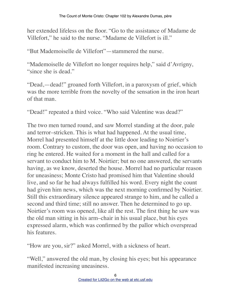her extended lifeless on the floor. "Go to the assistance of Madame de Villefort," he said to the nurse. "Madame de Villefort is ill."

"But Mademoiselle de Villefort"—stammered the nurse.

"Mademoiselle de Villefort no longer requires help," said d'Avrigny, "since she is dead."

"Dead,—dead!" groaned forth Villefort, in a paroxysm of grief, which was the more terrible from the novelty of the sensation in the iron heart of that man.

"Dead!" repeated a third voice. "Who said Valentine was dead?"

The two men turned round, and saw Morrel standing at the door, pale and terror–stricken. This is what had happened. At the usual time, Morrel had presented himself at the little door leading to Noirtier's room. Contrary to custom, the door was open, and having no occasion to ring he entered. He waited for a moment in the hall and called for a servant to conduct him to M. Noirtier; but no one answered, the servants having, as we know, deserted the house. Morrel had no particular reason for uneasiness; Monte Cristo had promised him that Valentine should live, and so far he had always fulfilled his word. Every night the count had given him news, which was the next morning confirmed by Noirtier. Still this extraordinary silence appeared strange to him, and he called a second and third time; still no answer. Then he determined to go up. Noirtier's room was opened, like all the rest. The first thing he saw was the old man sitting in his arm–chair in his usual place, but his eyes expressed alarm, which was confirmed by the pallor which overspread his features.

"How are you, sir?" asked Morrel, with a sickness of heart.

"Well," answered the old man, by closing his eyes; but his appearance manifested increasing uneasiness.